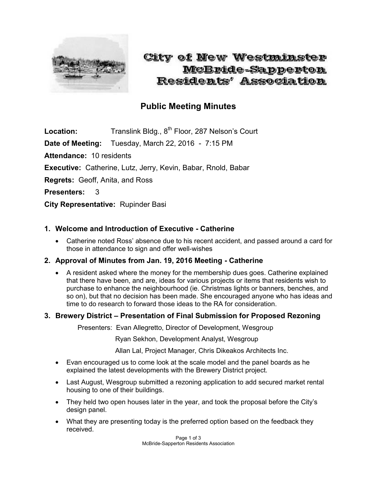

# City of New Westminster McBride-Sapperton <u>Residents' Association</u>

# **Public Meeting Minutes**

**Location:** Translink Bldg., 8<sup>th</sup> Floor, 287 Nelson's Court

**Date of Meeting:** Tuesday, March 22, 2016 - 7:15 PM

**Attendance:** 10 residents

**Executive:** Catherine, Lutz, Jerry, Kevin, Babar, Rnold, Babar

**Regrets:** Geoff, Anita, and Ross

**Presenters:** 3

**City Representative:** Rupinder Basi

# **1. Welcome and Introduction of Executive - Catherine**

 Catherine noted Ross' absence due to his recent accident, and passed around a card for those in attendance to sign and offer well-wishes

# **2. Approval of Minutes from Jan. 19, 2016 Meeting - Catherine**

 A resident asked where the money for the membership dues goes. Catherine explained that there have been, and are, ideas for various projects or items that residents wish to purchase to enhance the neighbourhood (ie. Christmas lights or banners, benches, and so on), but that no decision has been made. She encouraged anyone who has ideas and time to do research to forward those ideas to the RA for consideration.

#### **3. Brewery District – Presentation of Final Submission for Proposed Rezoning**

Presenters: Evan Allegretto, Director of Development, Wesgroup

Ryan Sekhon, Development Analyst, Wesgroup

Allan Lal, Project Manager, Chris Dikeakos Architects Inc.

- Evan encouraged us to come look at the scale model and the panel boards as he explained the latest developments with the Brewery District project.
- Last August, Wesgroup submitted a rezoning application to add secured market rental housing to one of their buildings.
- They held two open houses later in the year, and took the proposal before the City's design panel.
- What they are presenting today is the preferred option based on the feedback they received.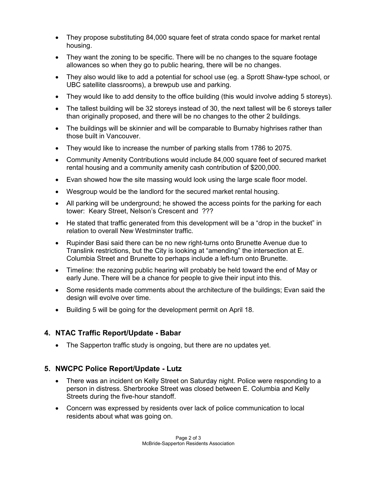- They propose substituting 84,000 square feet of strata condo space for market rental housing.
- They want the zoning to be specific. There will be no changes to the square footage allowances so when they go to public hearing, there will be no changes.
- They also would like to add a potential for school use (eg. a Sprott Shaw-type school, or UBC satellite classrooms), a brewpub use and parking.
- They would like to add density to the office building (this would involve adding 5 storeys).
- The tallest building will be 32 storeys instead of 30, the next tallest will be 6 storeys taller than originally proposed, and there will be no changes to the other 2 buildings.
- The buildings will be skinnier and will be comparable to Burnaby highrises rather than those built in Vancouver.
- They would like to increase the number of parking stalls from 1786 to 2075.
- Community Amenity Contributions would include 84,000 square feet of secured market rental housing and a community amenity cash contribution of \$200,000.
- Evan showed how the site massing would look using the large scale floor model.
- Wesgroup would be the landlord for the secured market rental housing.
- All parking will be underground; he showed the access points for the parking for each tower: Keary Street, Nelson's Crescent and ???
- He stated that traffic generated from this development will be a "drop in the bucket" in relation to overall New Westminster traffic.
- Rupinder Basi said there can be no new right-turns onto Brunette Avenue due to Translink restrictions, but the City is looking at "amending" the intersection at E. Columbia Street and Brunette to perhaps include a left-turn onto Brunette.
- Timeline: the rezoning public hearing will probably be held toward the end of May or early June. There will be a chance for people to give their input into this.
- Some residents made comments about the architecture of the buildings; Evan said the design will evolve over time.
- Building 5 will be going for the development permit on April 18.

# **4. NTAC Traffic Report/Update - Babar**

• The Sapperton traffic study is ongoing, but there are no updates yet.

# **5. NWCPC Police Report/Update - Lutz**

- There was an incident on Kelly Street on Saturday night. Police were responding to a person in distress. Sherbrooke Street was closed between E. Columbia and Kelly Streets during the five-hour standoff.
- Concern was expressed by residents over lack of police communication to local residents about what was going on.